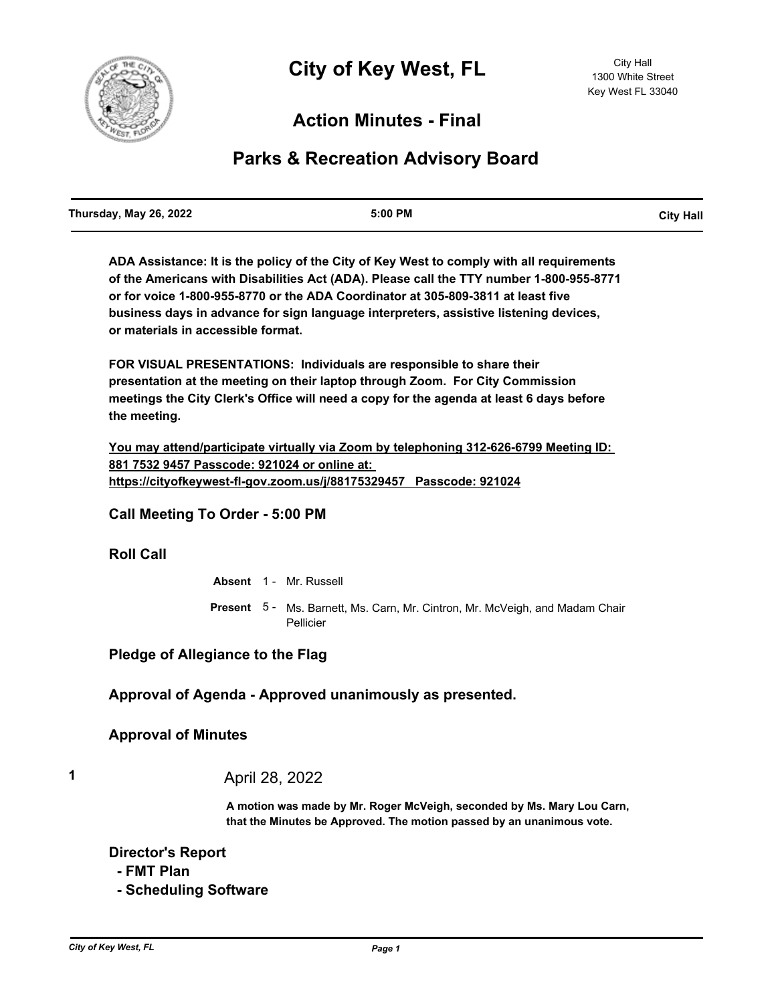

## **Action Minutes - Final**

# **Parks & Recreation Advisory Board**

| <b>City Hall</b> |
|------------------|
|                  |

**ADA Assistance: It is the policy of the City of Key West to comply with all requirements of the Americans with Disabilities Act (ADA). Please call the TTY number 1-800-955-8771 or for voice 1-800-955-8770 or the ADA Coordinator at 305-809-3811 at least five business days in advance for sign language interpreters, assistive listening devices, or materials in accessible format.**

**FOR VISUAL PRESENTATIONS: Individuals are responsible to share their presentation at the meeting on their laptop through Zoom. For City Commission meetings the City Clerk's Office will need a copy for the agenda at least 6 days before the meeting.**

**You may attend/participate virtually via Zoom by telephoning 312-626-6799 Meeting ID: 881 7532 9457 Passcode: 921024 or online at: https://cityofkeywest-fl-gov.zoom.us/j/88175329457 Passcode: 921024**

**Call Meeting To Order - 5:00 PM**

#### **Roll Call**

**Absent** 1 - Mr. Russell Present 5 - Ms. Barnett, Ms. Carn, Mr. Cintron, Mr. McVeigh, and Madam Chair Pellicier

**Pledge of Allegiance to the Flag**

**Approval of Agenda - Approved unanimously as presented.**

### **Approval of Minutes**

**1** April 28, 2022

**A motion was made by Mr. Roger McVeigh, seconded by Ms. Mary Lou Carn, that the Minutes be Approved. The motion passed by an unanimous vote.**

**Director's Report**

- **FMT Plan**
- **Scheduling Software**